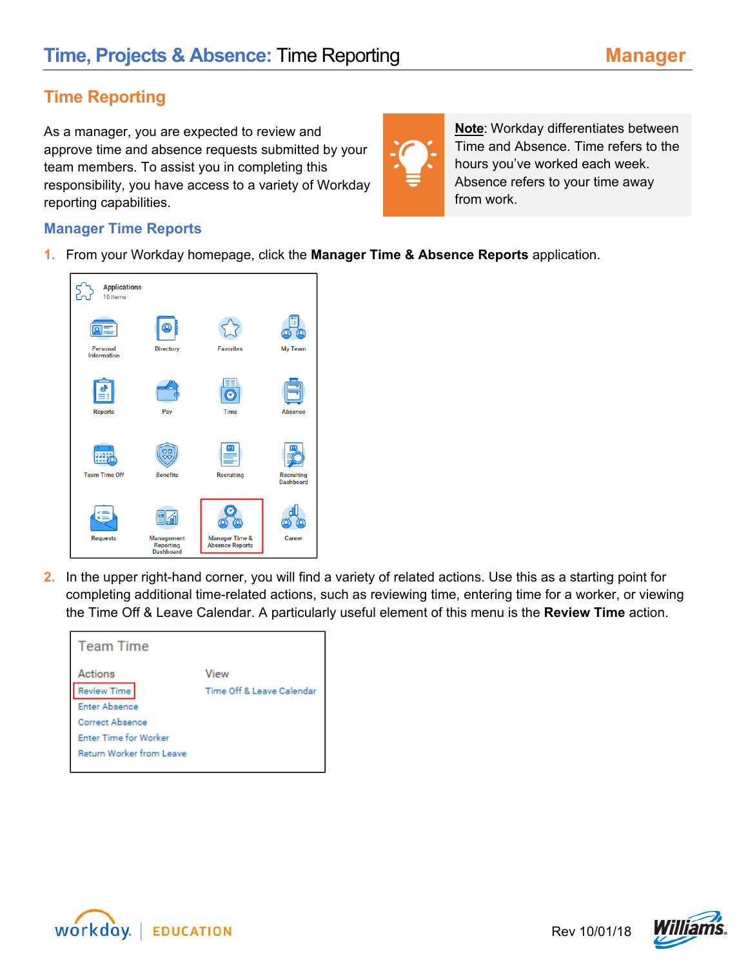## **Time Reporting**

As a manager, you are expected to review and approve time and absence requests submitted by your team members. To assist you in completing this responsibility, you have access to a variety of Workday reporting capabilities.



**Note**: Workday differentiates between Time and Absence. Time refers to the hours you've worked each week. Absence refers to your time away from work.

## **Manager Time Reports**

**1.** From your Workday homepage, click the **Manager Time & Absence Reports** application.



**2.** In the upper right-hand corner, you will find a variety of related actions. Use this as a starting point for completing additional time-related actions, such as reviewing time, entering time for a worker, or viewing the Time Off & Leave Calendar. A particularly useful element of this menu is the **Review Time** action.

| <b>Team Time</b>                |                           |
|---------------------------------|---------------------------|
| Actions                         | View                      |
| <b>Review Time</b>              | Time Off & Leave Calendar |
| <b>Enter Absence</b>            |                           |
| <b>Correct Absence</b>          |                           |
| <b>Enter Time for Worker</b>    |                           |
| <b>Return Worker from Leave</b> |                           |
|                                 |                           |



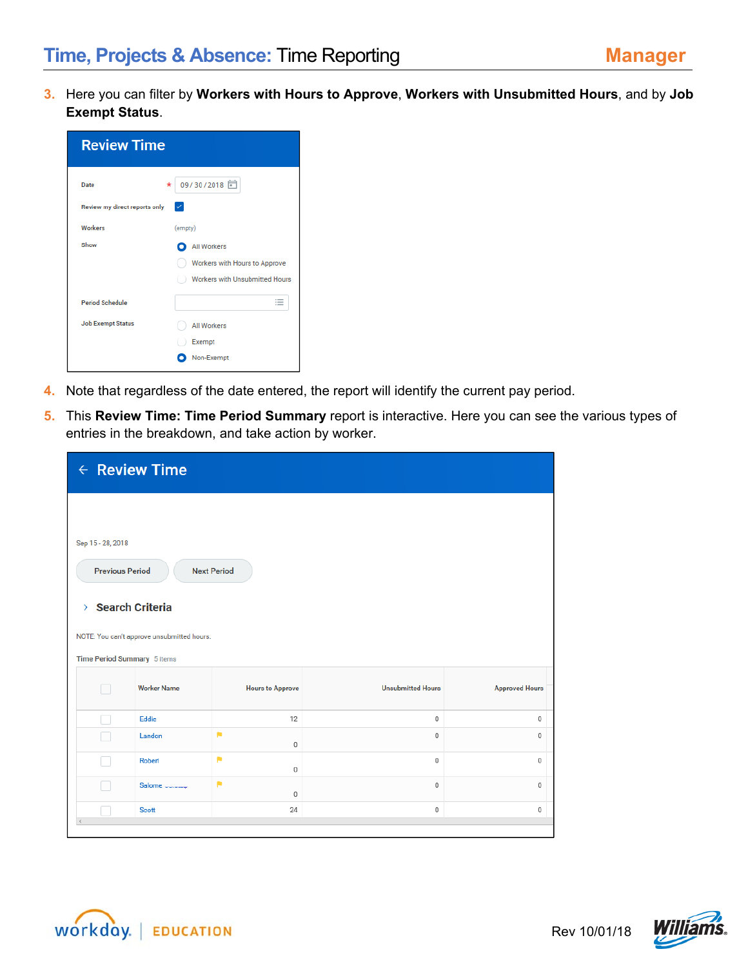**3.** Here you can filter by **Workers with Hours to Approve**, **Workers with Unsubmitted Hours**, and by **Job Exempt Status**.

| <b>Review Time</b>            |                                |
|-------------------------------|--------------------------------|
| Date                          | 09/30/2018<br>*                |
| Review my direct reports only | ✓                              |
| Workers                       | (empty)                        |
| Show                          | <b>All Workers</b>             |
|                               | Workers with Hours to Approve  |
|                               | Workers with Unsubmitted Hours |
| <b>Period Schedule</b>        | ≣                              |
| <b>Job Exempt Status</b>      | <b>All Workers</b>             |
|                               | Exempt                         |
|                               | Non-Exempt                     |

- **4.** Note that regardless of the date entered, the report will identify the current pay period.
- **5.** This **Review Time: Time Period Summary** report is interactive. Here you can see the various types of entries in the breakdown, and take action by worker.

| $\leftarrow$ Review Time    |                                                |                         |                          |                       |  |  |  |  |  |  |
|-----------------------------|------------------------------------------------|-------------------------|--------------------------|-----------------------|--|--|--|--|--|--|
|                             |                                                |                         |                          |                       |  |  |  |  |  |  |
| Sep 15 - 28, 2018           |                                                |                         |                          |                       |  |  |  |  |  |  |
| <b>Previous Period</b>      |                                                | <b>Next Period</b>      |                          |                       |  |  |  |  |  |  |
| > Search Criteria           |                                                |                         |                          |                       |  |  |  |  |  |  |
|                             | NOTE: You can't approve unsubmitted hours.     |                         |                          |                       |  |  |  |  |  |  |
| Time Period Summary 5 items |                                                |                         |                          |                       |  |  |  |  |  |  |
|                             | <b>Worker Name</b>                             | <b>Hours to Approve</b> | <b>Unsubmitted Hours</b> | <b>Approved Hours</b> |  |  |  |  |  |  |
|                             | Eddie                                          | 12                      | $\mathbb O$              | 0                     |  |  |  |  |  |  |
|                             | Landon                                         | ×<br>$\mathbf 0$        | $\mathbf 0$              | 0                     |  |  |  |  |  |  |
|                             | ×<br>Robert<br>$\mathbf 0$<br>0<br>$\mathbf 0$ |                         |                          |                       |  |  |  |  |  |  |
|                             | Salome ______                                  | P<br>$\mathbf 0$        | $\mathbf 0$              | 0                     |  |  |  |  |  |  |
|                             | <b>Scott</b>                                   | 24                      | $\mathbb O$              | 0                     |  |  |  |  |  |  |
|                             |                                                |                         |                          |                       |  |  |  |  |  |  |



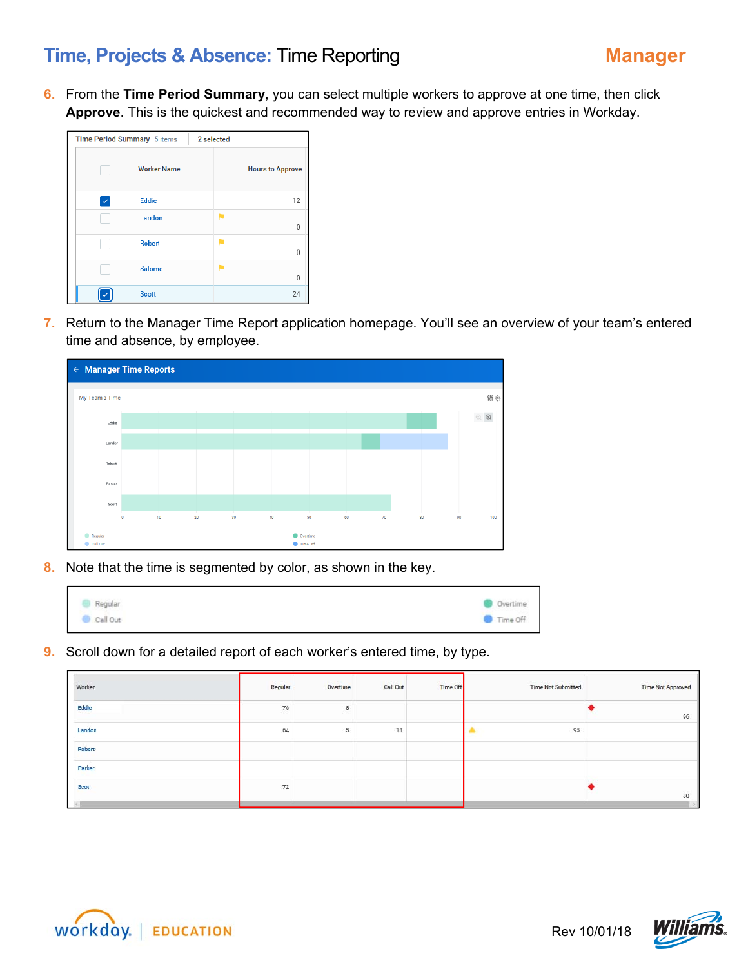**6.** From the **Time Period Summary**, you can select multiple workers to approve at one time, then click **Approve**. This is the quickest and recommended way to review and approve entries in Workday.

| Time Period Summary 5 items |                    | 2 selected              |
|-----------------------------|--------------------|-------------------------|
|                             | <b>Worker Name</b> | <b>Hours to Approve</b> |
|                             | Eddie              | 12                      |
|                             | Landon             | 0                       |
|                             | Robert             | 0                       |
|                             | Salome             | 0                       |
|                             | <b>Scott</b>       | 24                      |

**7.** Return to the Manager Time Report application homepage. You'll see an overview of your team's entered time and absence, by employee.



**8.** Note that the time is segmented by color, as shown in the key.

| Regular  | $\begin{array}{c} \textbf{Overtime} \end{array}$ |
|----------|--------------------------------------------------|
| Call Out | Time Off                                         |

**9.** Scroll down for a detailed report of each worker's entered time, by type.

| Worker | Regular | Overtime | Call Out | Time Off | Time Not Submitted | <b>Time Not Approved</b> |
|--------|---------|----------|----------|----------|--------------------|--------------------------|
| Eddie  | 76      | 8        |          |          |                    | 96                       |
| Landon | 64      |          | 18       |          | 95                 |                          |
| Robert |         |          |          |          |                    |                          |
| Parker |         |          |          |          |                    |                          |
| Scot   | 72      |          |          |          |                    | 80                       |



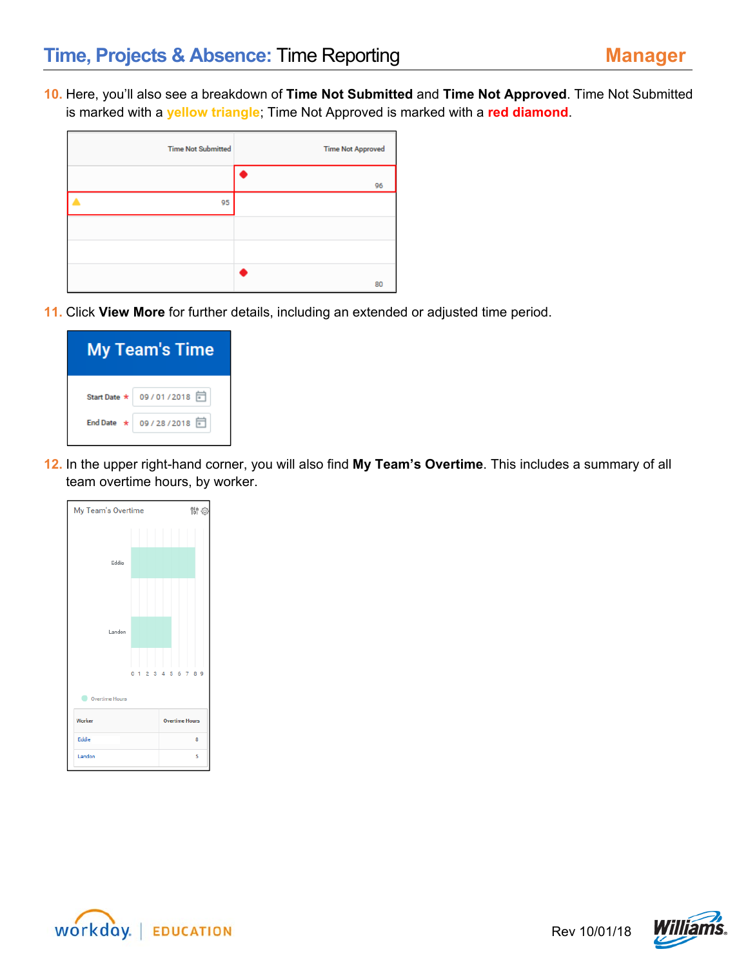**10.** Here, you'll also see a breakdown of **Time Not Submitted** and **Time Not Approved**. Time Not Submitted is marked with a **yellow triangle**; Time Not Approved is marked with a **red diamond**.

| <b>Time Not Submitted</b> | <b>Time Not Approved</b> |
|---------------------------|--------------------------|
|                           | 96                       |
| 95                        |                          |
|                           |                          |
|                           |                          |
|                           | 80                       |

**11.** Click **View More** for further details, including an extended or adjusted time period.

| <b>My Team's Time</b> |                           |  |  |  |  |  |  |  |
|-----------------------|---------------------------|--|--|--|--|--|--|--|
|                       | Start Date * 09/01/2018 司 |  |  |  |  |  |  |  |
|                       | End Date * 09/28/2018     |  |  |  |  |  |  |  |

**12.** In the upper right-hand corner, you will also find **My Team's Overtime**. This includes a summary of all team overtime hours, by worker.





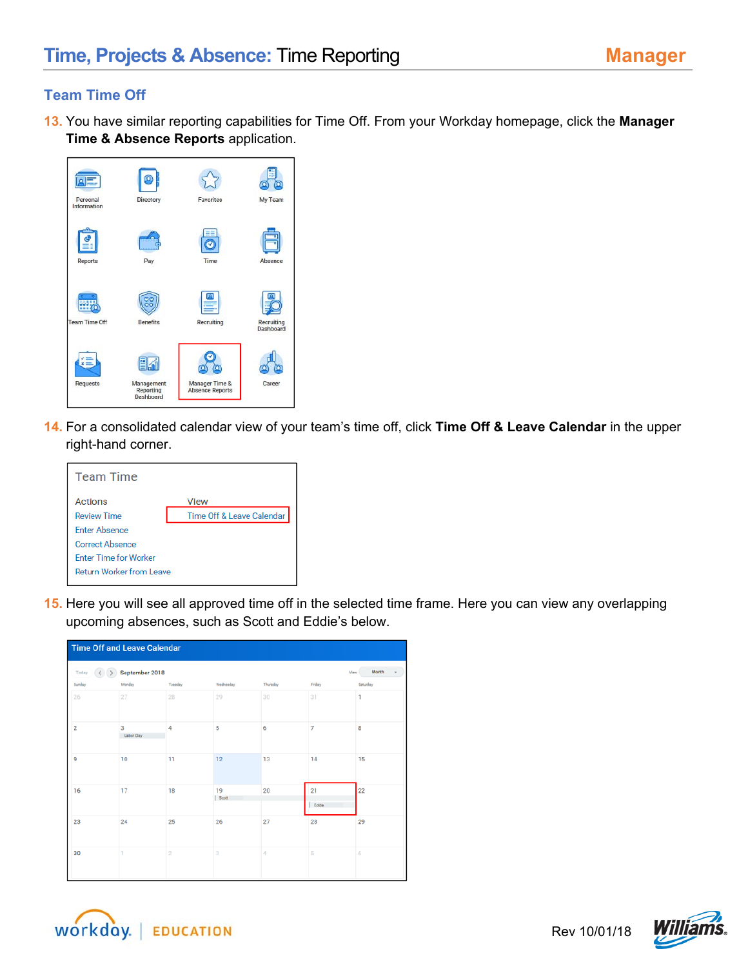## **Team Time Off**

**13.** You have similar reporting capabilities for Time Off. From your Workday homepage, click the **Manager Time & Absence Reports** application.



**14.** For a consolidated calendar view of your team's time off, click **Time Off & Leave Calendar** in the upper right-hand corner.

| <b>Team Time</b>                |                           |  |  |  |  |  |
|---------------------------------|---------------------------|--|--|--|--|--|
| Actions                         | View                      |  |  |  |  |  |
| <b>Review Time</b>              | Time Off & Leave Calendar |  |  |  |  |  |
| <b>Enter Absence</b>            |                           |  |  |  |  |  |
| <b>Correct Absence</b>          |                           |  |  |  |  |  |
| <b>Enter Time for Worker</b>    |                           |  |  |  |  |  |
| <b>Return Worker from Leave</b> |                           |  |  |  |  |  |
|                                 |                           |  |  |  |  |  |

**15.** Here you will see all approved time off in the selected time frame. Here you can view any overlapping upcoming absences, such as Scott and Eddie's below.

| <b>Time Off and Leave Calendar</b> |                |         |             |          |                |          |  |  |  |
|------------------------------------|----------------|---------|-------------|----------|----------------|----------|--|--|--|
| Today<br>$\epsilon$                | September 2018 |         |             |          | View           | Month    |  |  |  |
| Sunday                             | Monday         | Tuesday | Wednesday   | Thursday | Friday         | Saturday |  |  |  |
| 26                                 | 27             | 28      | 29          | 30       | 31             | 1        |  |  |  |
| $\overline{2}$                     | 3<br>Labor Day | 4       | 5           | 6        | $\overline{7}$ | 8        |  |  |  |
| 9                                  | 10             | 11      | 12          | 13       | 14             | 15       |  |  |  |
| 16                                 | 17             | 18      | 19<br>Scott | 20       | 21<br>Eddie    | 22       |  |  |  |
| 23                                 | 24             | 25      | 26          | 27       | 28             | 29       |  |  |  |
| 30                                 | T.             | $\,2\,$ | 3           | 4        | 5              | 6        |  |  |  |



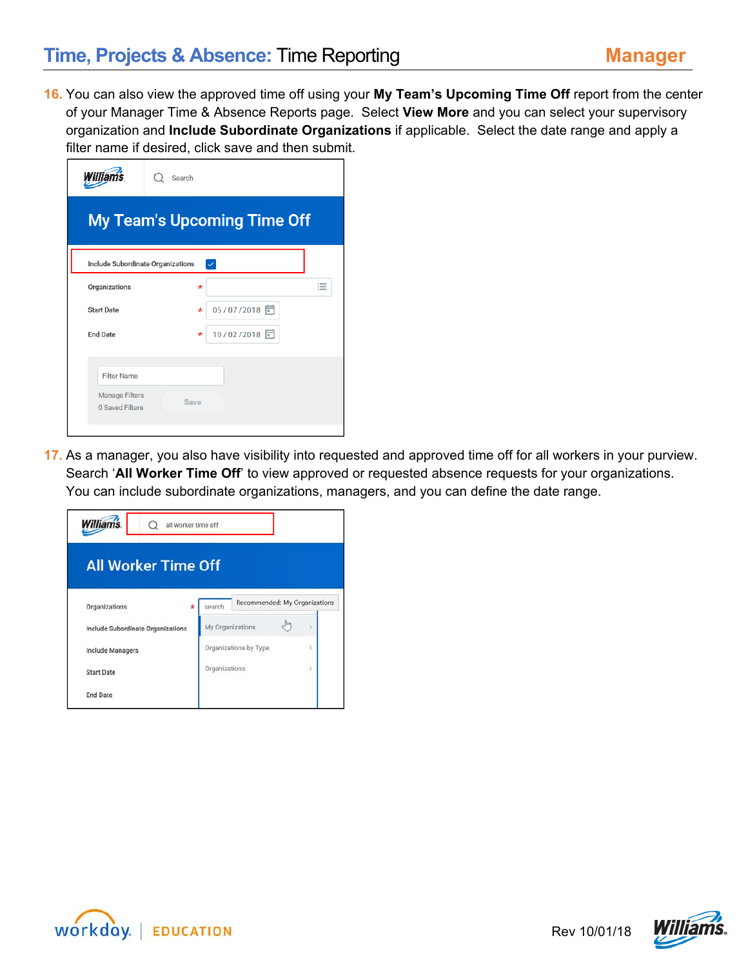**16.** You can also view the approved time off using your **My Team's Upcoming Time Off** report from the center of your Manager Time & Absence Reports page. Select **View More** and you can select your supervisory organization and **Include Subordinate Organizations** if applicable. Select the date range and apply a filter name if desired, click save and then submit.

| illian                                   | Search                             |   |
|------------------------------------------|------------------------------------|---|
|                                          | <b>My Team's Upcoming Time Off</b> |   |
| Include Subordinate Organizations        | $\checkmark$                       |   |
| Organizations                            | $\star$                            | 這 |
| <b>Start Date</b>                        | 05/07/2018 同<br>$\star$            |   |
| <b>End Date</b>                          | 10/02/2018 日<br>$\star$            |   |
|                                          |                                    |   |
| <b>Filter Name</b>                       |                                    |   |
| <b>Manage Filters</b><br>0 Saved Filters | Save                               |   |

**17.** As a manager, you also have visibility into requested and approved time off for all workers in your purview. Search '**All Worker Time Off**' to view approved or requested absence requests for your organizations. You can include subordinate organizations, managers, and you can define the date range.